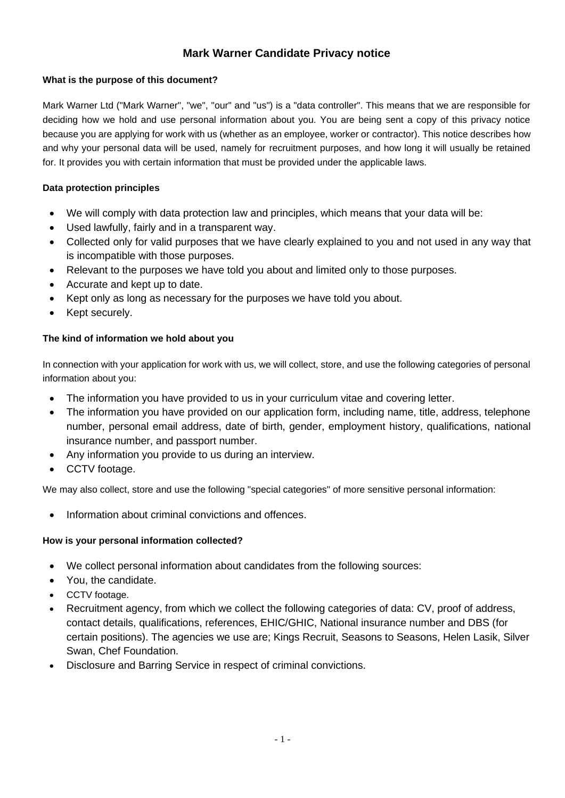# **Mark Warner Candidate Privacy notice**

# **What is the purpose of this document?**

Mark Warner Ltd ("Mark Warner", "we", "our" and "us") is a "data controller". This means that we are responsible for deciding how we hold and use personal information about you. You are being sent a copy of this privacy notice because you are applying for work with us (whether as an employee, worker or contractor). This notice describes how and why your personal data will be used, namely for recruitment purposes, and how long it will usually be retained for. It provides you with certain information that must be provided under the applicable laws.

# **Data protection principles**

- We will comply with data protection law and principles, which means that your data will be:
- Used lawfully, fairly and in a transparent way.
- Collected only for valid purposes that we have clearly explained to you and not used in any way that is incompatible with those purposes.
- Relevant to the purposes we have told you about and limited only to those purposes.
- Accurate and kept up to date.
- Kept only as long as necessary for the purposes we have told you about.
- Kept securely.

# **The kind of information we hold about you**

In connection with your application for work with us, we will collect, store, and use the following categories of personal information about you:

- The information you have provided to us in your curriculum vitae and covering letter.
- The information you have provided on our application form, including name, title, address, telephone number, personal email address, date of birth, gender, employment history, qualifications, national insurance number, and passport number.
- Any information you provide to us during an interview.
- CCTV footage.

We may also collect, store and use the following "special categories" of more sensitive personal information:

• Information about criminal convictions and offences.

# **How is your personal information collected?**

- We collect personal information about candidates from the following sources:
- You, the candidate.
- CCTV footage.
- Recruitment agency, from which we collect the following categories of data: CV, proof of address, contact details, qualifications, references, EHIC/GHIC, National insurance number and DBS (for certain positions). The agencies we use are; Kings Recruit, Seasons to Seasons, Helen Lasik, Silver Swan, Chef Foundation.
- Disclosure and Barring Service in respect of criminal convictions.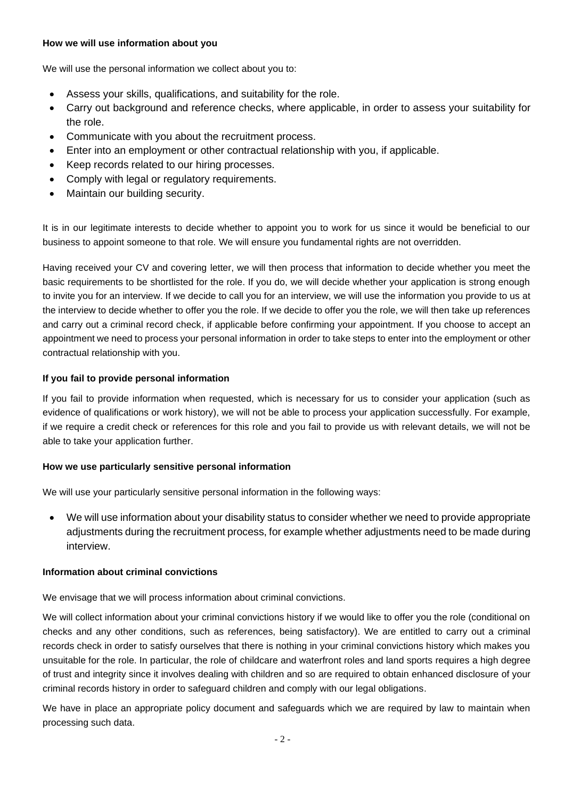# **How we will use information about you**

We will use the personal information we collect about you to:

- Assess your skills, qualifications, and suitability for the role.
- Carry out background and reference checks, where applicable, in order to assess your suitability for the role.
- Communicate with you about the recruitment process.
- Enter into an employment or other contractual relationship with you, if applicable.
- Keep records related to our hiring processes.
- Comply with legal or regulatory requirements.
- Maintain our building security.

It is in our legitimate interests to decide whether to appoint you to work for us since it would be beneficial to our business to appoint someone to that role. We will ensure you fundamental rights are not overridden.

Having received your CV and covering letter, we will then process that information to decide whether you meet the basic requirements to be shortlisted for the role. If you do, we will decide whether your application is strong enough to invite you for an interview. If we decide to call you for an interview, we will use the information you provide to us at the interview to decide whether to offer you the role. If we decide to offer you the role, we will then take up references and carry out a criminal record check, if applicable before confirming your appointment. If you choose to accept an appointment we need to process your personal information in order to take steps to enter into the employment or other contractual relationship with you.

# **If you fail to provide personal information**

If you fail to provide information when requested, which is necessary for us to consider your application (such as evidence of qualifications or work history), we will not be able to process your application successfully. For example, if we require a credit check or references for this role and you fail to provide us with relevant details, we will not be able to take your application further.

## **How we use particularly sensitive personal information**

We will use your particularly sensitive personal information in the following ways:

• We will use information about your disability status to consider whether we need to provide appropriate adjustments during the recruitment process, for example whether adjustments need to be made during interview.

## **Information about criminal convictions**

We envisage that we will process information about criminal convictions.

We will collect information about your criminal convictions history if we would like to offer you the role (conditional on checks and any other conditions, such as references, being satisfactory). We are entitled to carry out a criminal records check in order to satisfy ourselves that there is nothing in your criminal convictions history which makes you unsuitable for the role. In particular, the role of childcare and waterfront roles and land sports requires a high degree of trust and integrity since it involves dealing with children and so are required to obtain enhanced disclosure of your criminal records history in order to safeguard children and comply with our legal obligations.

We have in place an appropriate policy document and safeguards which we are required by law to maintain when processing such data.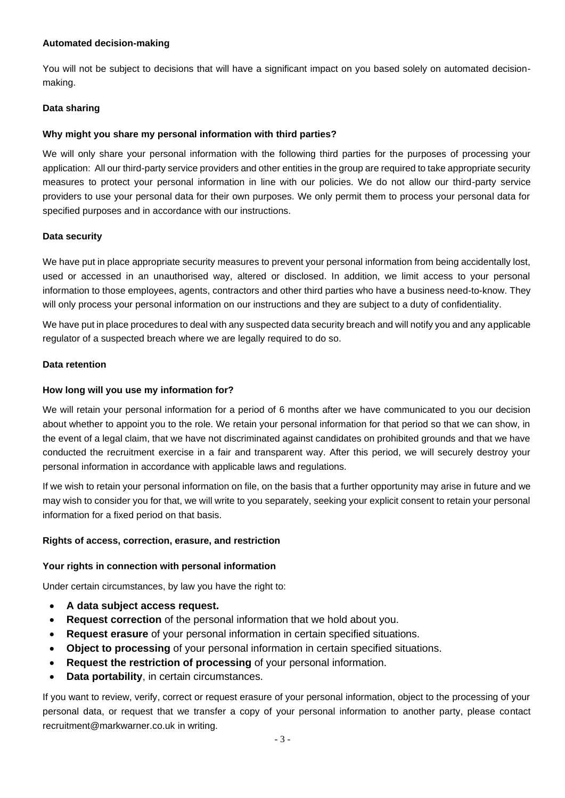# **Automated decision-making**

You will not be subject to decisions that will have a significant impact on you based solely on automated decisionmaking.

# **Data sharing**

# **Why might you share my personal information with third parties?**

We will only share your personal information with the following third parties for the purposes of processing your application: All our third-party service providers and other entities in the group are required to take appropriate security measures to protect your personal information in line with our policies. We do not allow our third-party service providers to use your personal data for their own purposes. We only permit them to process your personal data for specified purposes and in accordance with our instructions.

## **Data security**

We have put in place appropriate security measures to prevent your personal information from being accidentally lost, used or accessed in an unauthorised way, altered or disclosed. In addition, we limit access to your personal information to those employees, agents, contractors and other third parties who have a business need-to-know. They will only process your personal information on our instructions and they are subject to a duty of confidentiality.

We have put in place procedures to deal with any suspected data security breach and will notify you and any applicable regulator of a suspected breach where we are legally required to do so.

## **Data retention**

# **How long will you use my information for?**

We will retain your personal information for a period of 6 months after we have communicated to you our decision about whether to appoint you to the role. We retain your personal information for that period so that we can show, in the event of a legal claim, that we have not discriminated against candidates on prohibited grounds and that we have conducted the recruitment exercise in a fair and transparent way. After this period, we will securely destroy your personal information in accordance with applicable laws and regulations.

If we wish to retain your personal information on file, on the basis that a further opportunity may arise in future and we may wish to consider you for that, we will write to you separately, seeking your explicit consent to retain your personal information for a fixed period on that basis.

## **Rights of access, correction, erasure, and restriction**

## **Your rights in connection with personal information**

Under certain circumstances, by law you have the right to:

- **A data subject access request.**
- **Request correction** of the personal information that we hold about you.
- **Request erasure** of your personal information in certain specified situations.
- **Object to processing** of your personal information in certain specified situations.
- **Request the restriction of processing** of your personal information.
- **Data portability**, in certain circumstances.

If you want to review, verify, correct or request erasure of your personal information, object to the processing of your personal data, or request that we transfer a copy of your personal information to another party, please contact recruitment@markwarner.co.uk in writing.